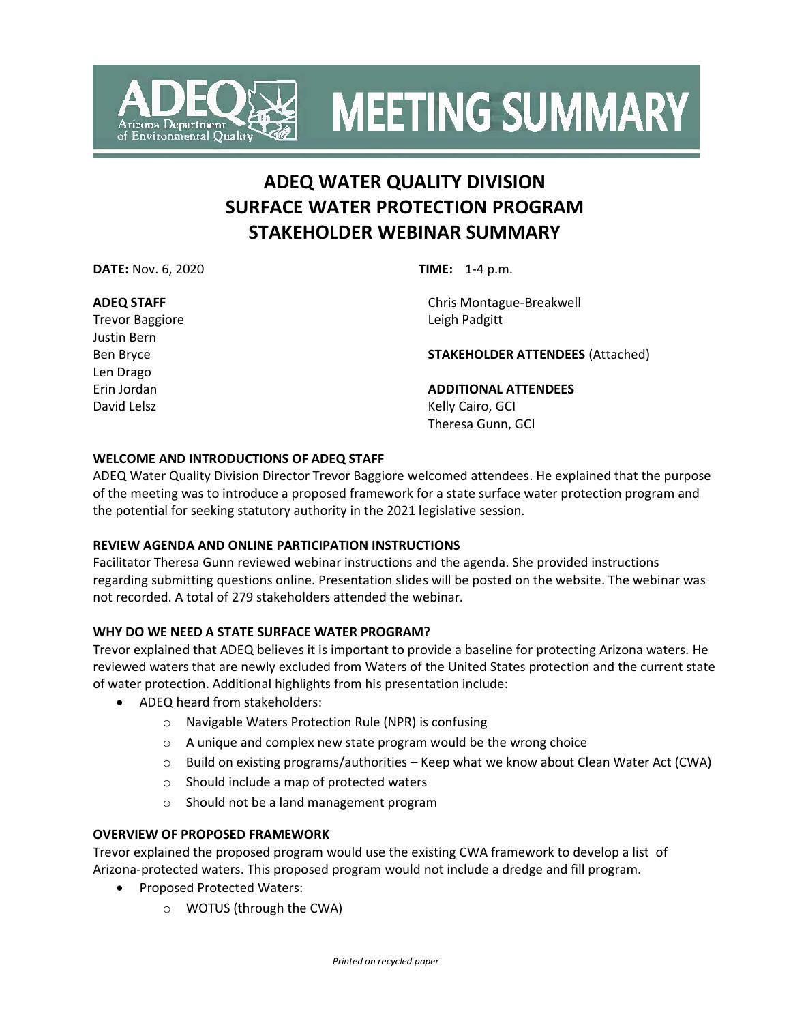

**MEETING SUMMARY** 

### **ADEQ WATER QUALITY DIVISION SURFACE WATER PROTECTION PROGRAM STAKEHOLDER WEBINAR SUMMARY**

**DATE:** Nov. 6, 2020 **TIME:** 1-4 p.m.

### **ADEQ STAFF**

Trevor Baggiore Justin Bern Ben Bryce Len Drago Erin Jordan David Lelsz

Chris Montague-Breakwell Leigh Padgitt

**STAKEHOLDER ATTENDEES** (Attached)

**ADDITIONAL ATTENDEES** Kelly Cairo, GCI Theresa Gunn, GCI

### **WELCOME AND INTRODUCTIONS OF ADEQ STAFF**

ADEQ Water Quality Division Director Trevor Baggiore welcomed attendees. He explained that the purpose of the meeting was to introduce a proposed framework for a state surface water protection program and the potential for seeking statutory authority in the 2021 legislative session.

### **REVIEW AGENDA AND ONLINE PARTICIPATION INSTRUCTIONS**

Facilitator Theresa Gunn reviewed webinar instructions and the agenda. She provided instructions regarding submitting questions online. Presentation slides will be posted on the website. The webinar was not recorded. A total of 279 stakeholders attended the webinar.

### **WHY DO WE NEED A STATE SURFACE WATER PROGRAM?**

Trevor explained that ADEQ believes it is important to provide a baseline for protecting Arizona waters. He reviewed waters that are newly excluded from Waters of the United States protection and the current state of water protection. Additional highlights from his presentation include:

- ADEQ heard from stakeholders:
	- o Navigable Waters Protection Rule (NPR) is confusing
	- $\circ$  A unique and complex new state program would be the wrong choice
	- $\circ$  Build on existing programs/authorities Keep what we know about Clean Water Act (CWA)
	- o Should include a map of protected waters
	- o Should not be a land management program

### **OVERVIEW OF PROPOSED FRAMEWORK**

Trevor explained the proposed program would use the existing CWA framework to develop a list of Arizona-protected waters. This proposed program would not include a dredge and fill program.

- Proposed Protected Waters:
	- o WOTUS (through the CWA)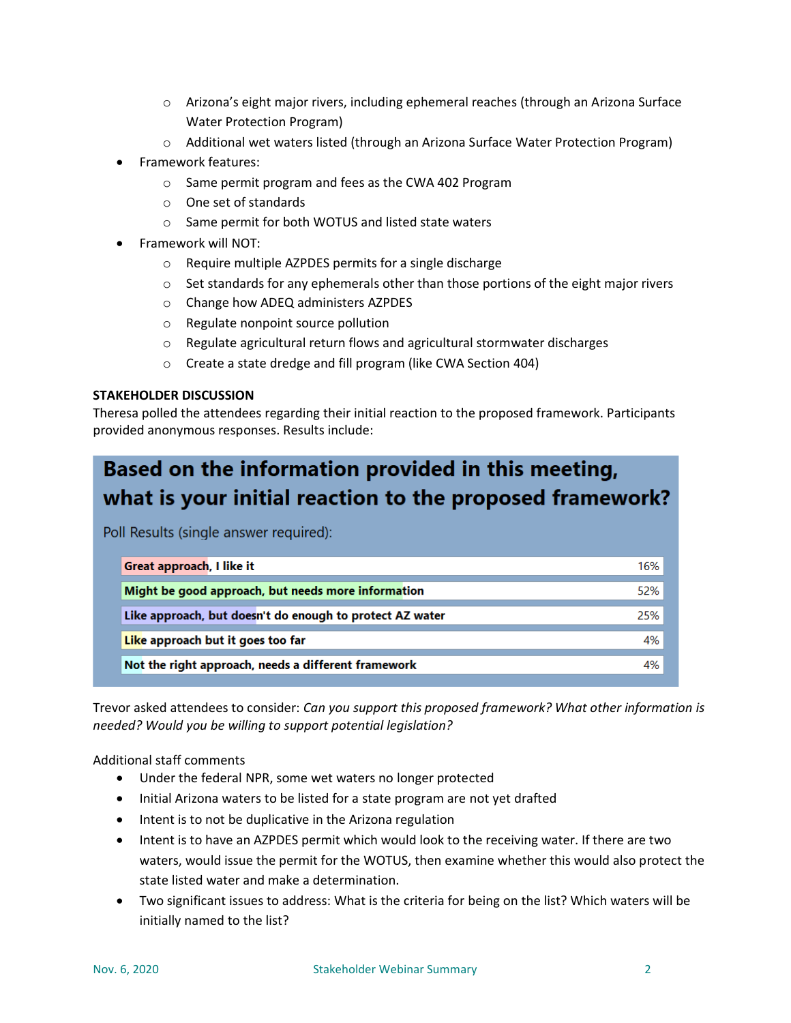- $\circ$  Arizona's eight major rivers, including ephemeral reaches (through an Arizona Surface Water Protection Program)
- o Additional wet waters listed (through an Arizona Surface Water Protection Program)
- Framework features:
	- o Same permit program and fees as the CWA 402 Program
	- o One set of standards
	- o Same permit for both WOTUS and listed state waters
- Framework will NOT:
	- o Require multiple AZPDES permits for a single discharge
	- $\circ$  Set standards for any ephemerals other than those portions of the eight major rivers
	- o Change how ADEQ administers AZPDES
	- o Regulate nonpoint source pollution
	- o Regulate agricultural return flows and agricultural stormwater discharges
	- o Create a state dredge and fill program (like CWA Section 404)

### **STAKEHOLDER DISCUSSION**

Theresa polled the attendees regarding their initial reaction to the proposed framework. Participants provided anonymous responses. Results include:

## Based on the information provided in this meeting, what is your initial reaction to the proposed framework?

Poll Results (single answer required):

| Great approach, I like it                                | 16% |
|----------------------------------------------------------|-----|
| Might be good approach, but needs more information       | 52% |
| Like approach, but doesn't do enough to protect AZ water | 25% |
| Like approach but it goes too far                        | 4%  |
| Not the right approach, needs a different framework      | 4%  |

Trevor asked attendees to consider: *Can you support this proposed framework? What other information is needed? Would you be willing to support potential legislation?*

Additional staff comments

- Under the federal NPR, some wet waters no longer protected
- Initial Arizona waters to be listed for a state program are not yet drafted
- Intent is to not be duplicative in the Arizona regulation
- Intent is to have an AZPDES permit which would look to the receiving water. If there are two waters, would issue the permit for the WOTUS, then examine whether this would also protect the state listed water and make a determination.
- Two significant issues to address: What is the criteria for being on the list? Which waters will be initially named to the list?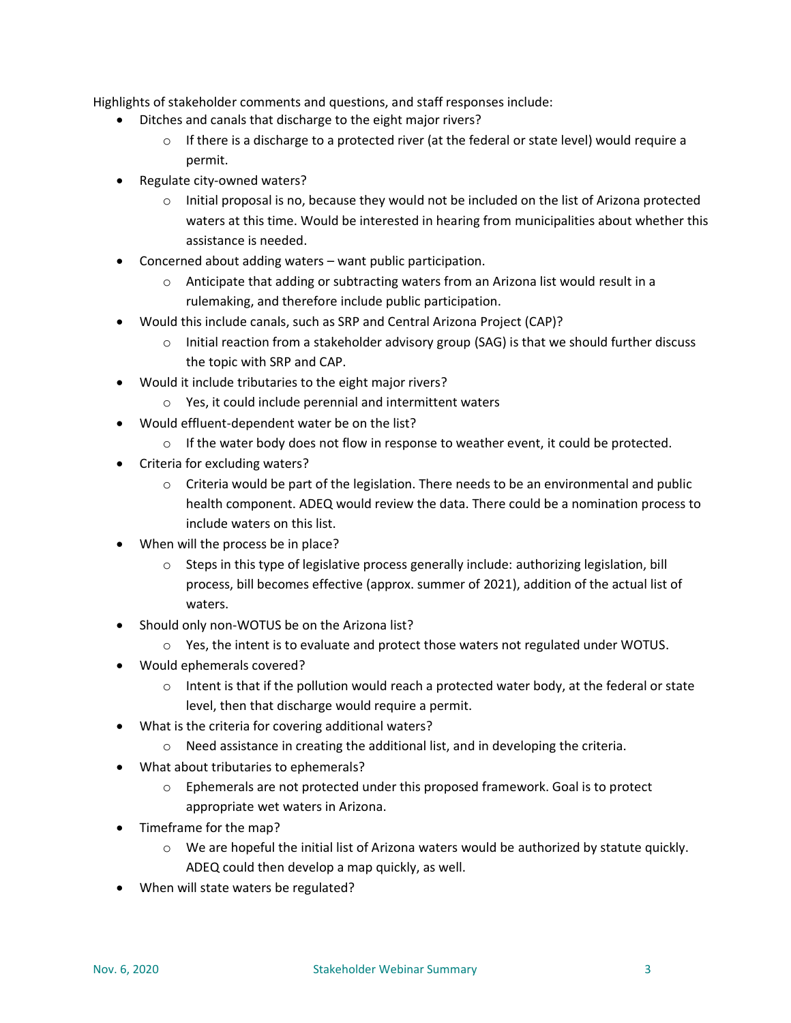Highlights of stakeholder comments and questions, and staff responses include:

- Ditches and canals that discharge to the eight major rivers?
	- $\circ$  If there is a discharge to a protected river (at the federal or state level) would require a permit.
- Regulate city-owned waters?
	- $\circ$  Initial proposal is no, because they would not be included on the list of Arizona protected waters at this time. Would be interested in hearing from municipalities about whether this assistance is needed.
- Concerned about adding waters want public participation.
	- $\circ$  Anticipate that adding or subtracting waters from an Arizona list would result in a rulemaking, and therefore include public participation.
- Would this include canals, such as SRP and Central Arizona Project (CAP)?
	- $\circ$  Initial reaction from a stakeholder advisory group (SAG) is that we should further discuss the topic with SRP and CAP.
- Would it include tributaries to the eight major rivers?
	- o Yes, it could include perennial and intermittent waters
	- Would effluent-dependent water be on the list?
		- $\circ$  If the water body does not flow in response to weather event, it could be protected.
- Criteria for excluding waters?
	- $\circ$  Criteria would be part of the legislation. There needs to be an environmental and public health component. ADEQ would review the data. There could be a nomination process to include waters on this list.
- When will the process be in place?
	- o Steps in this type of legislative process generally include: authorizing legislation, bill process, bill becomes effective (approx. summer of 2021), addition of the actual list of waters.
- Should only non-WOTUS be on the Arizona list?
	- $\circ$  Yes, the intent is to evaluate and protect those waters not regulated under WOTUS.
- Would ephemerals covered?
	- $\circ$  Intent is that if the pollution would reach a protected water body, at the federal or state level, then that discharge would require a permit.
- What is the criteria for covering additional waters?
	- o Need assistance in creating the additional list, and in developing the criteria.
- What about tributaries to ephemerals?
	- o Ephemerals are not protected under this proposed framework. Goal is to protect appropriate wet waters in Arizona.
- Timeframe for the map?
	- $\circ$  We are hopeful the initial list of Arizona waters would be authorized by statute quickly. ADEQ could then develop a map quickly, as well.
- When will state waters be regulated?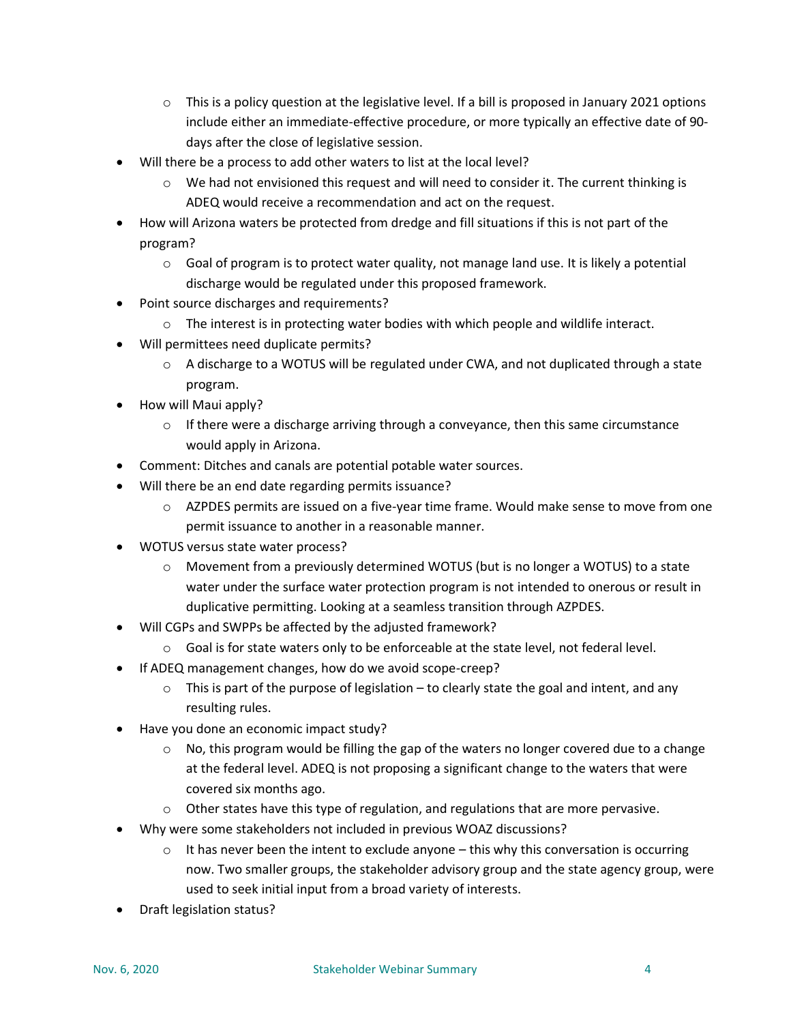- $\circ$  This is a policy question at the legislative level. If a bill is proposed in January 2021 options include either an immediate-effective procedure, or more typically an effective date of 90 days after the close of legislative session.
- Will there be a process to add other waters to list at the local level?
	- $\circ$  We had not envisioned this request and will need to consider it. The current thinking is ADEQ would receive a recommendation and act on the request.
- How will Arizona waters be protected from dredge and fill situations if this is not part of the program?
	- $\circ$  Goal of program is to protect water quality, not manage land use. It is likely a potential discharge would be regulated under this proposed framework.
- Point source discharges and requirements?
	- $\circ$  The interest is in protecting water bodies with which people and wildlife interact.
- Will permittees need duplicate permits?
	- $\circ$  A discharge to a WOTUS will be regulated under CWA, and not duplicated through a state program.
- How will Maui apply?
	- $\circ$  If there were a discharge arriving through a conveyance, then this same circumstance would apply in Arizona.
- Comment: Ditches and canals are potential potable water sources.
- Will there be an end date regarding permits issuance?
	- $\circ$  AZPDES permits are issued on a five-year time frame. Would make sense to move from one permit issuance to another in a reasonable manner.
- WOTUS versus state water process?
	- $\circ$  Movement from a previously determined WOTUS (but is no longer a WOTUS) to a state water under the surface water protection program is not intended to onerous or result in duplicative permitting. Looking at a seamless transition through AZPDES.
- Will CGPs and SWPPs be affected by the adjusted framework?
	- $\circ$  Goal is for state waters only to be enforceable at the state level, not federal level.
- If ADEQ management changes, how do we avoid scope-creep?
	- $\circ$  This is part of the purpose of legislation to clearly state the goal and intent, and any resulting rules.
- Have you done an economic impact study?
	- No, this program would be filling the gap of the waters no longer covered due to a change at the federal level. ADEQ is not proposing a significant change to the waters that were covered six months ago.
	- $\circ$  Other states have this type of regulation, and regulations that are more pervasive.
- Why were some stakeholders not included in previous WOAZ discussions?
	- $\circ$  It has never been the intent to exclude anyone this why this conversation is occurring now. Two smaller groups, the stakeholder advisory group and the state agency group, were used to seek initial input from a broad variety of interests.
- Draft legislation status?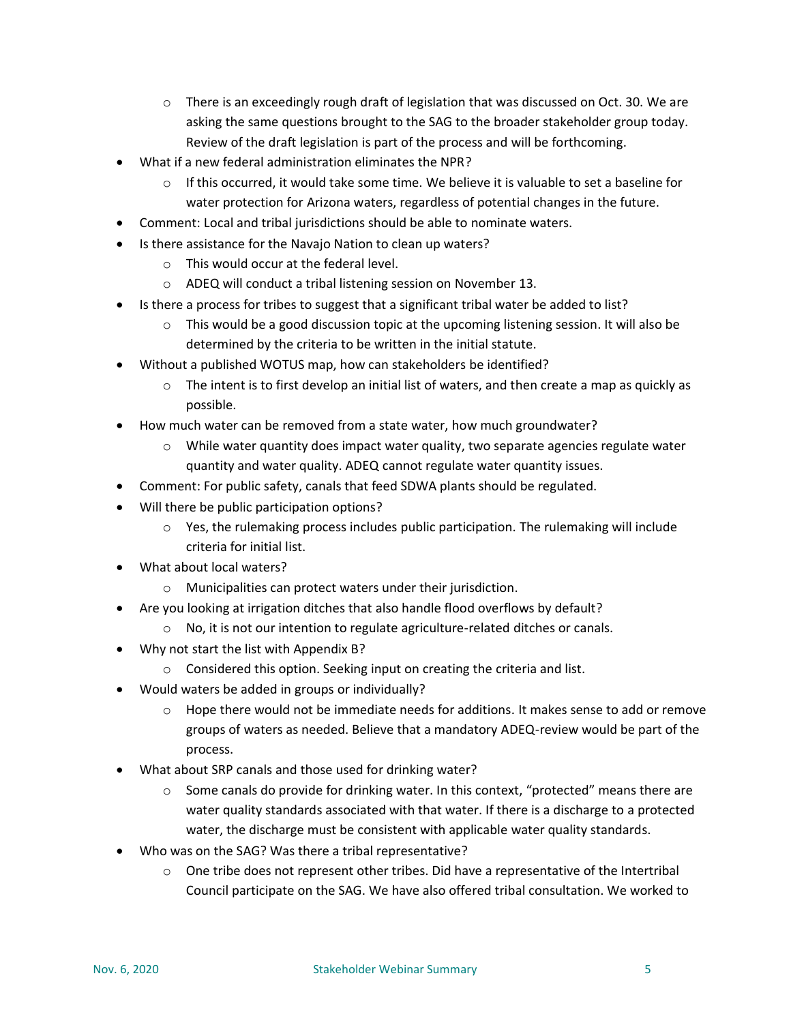- $\circ$  There is an exceedingly rough draft of legislation that was discussed on Oct. 30. We are asking the same questions brought to the SAG to the broader stakeholder group today. Review of the draft legislation is part of the process and will be forthcoming.
- What if a new federal administration eliminates the NPR?
	- $\circ$  If this occurred, it would take some time. We believe it is valuable to set a baseline for water protection for Arizona waters, regardless of potential changes in the future.
- Comment: Local and tribal jurisdictions should be able to nominate waters.
- Is there assistance for the Navajo Nation to clean up waters?
	- o This would occur at the federal level.
	- o ADEQ will conduct a tribal listening session on November 13.
- Is there a process for tribes to suggest that a significant tribal water be added to list?
	- $\circ$  This would be a good discussion topic at the upcoming listening session. It will also be determined by the criteria to be written in the initial statute.
- Without a published WOTUS map, how can stakeholders be identified?
	- $\circ$  The intent is to first develop an initial list of waters, and then create a map as quickly as possible.
- How much water can be removed from a state water, how much groundwater?
	- $\circ$  While water quantity does impact water quality, two separate agencies regulate water quantity and water quality. ADEQ cannot regulate water quantity issues.
- Comment: For public safety, canals that feed SDWA plants should be regulated.
- Will there be public participation options?
	- $\circ$  Yes, the rulemaking process includes public participation. The rulemaking will include criteria for initial list.
- What about local waters?
	- o Municipalities can protect waters under their jurisdiction.
- Are you looking at irrigation ditches that also handle flood overflows by default?
	- o No, it is not our intention to regulate agriculture-related ditches or canals.
- Why not start the list with Appendix B?
	- o Considered this option. Seeking input on creating the criteria and list.
- Would waters be added in groups or individually?
	- $\circ$  Hope there would not be immediate needs for additions. It makes sense to add or remove groups of waters as needed. Believe that a mandatory ADEQ-review would be part of the process.
- What about SRP canals and those used for drinking water?
	- $\circ$  Some canals do provide for drinking water. In this context, "protected" means there are water quality standards associated with that water. If there is a discharge to a protected water, the discharge must be consistent with applicable water quality standards.
- Who was on the SAG? Was there a tribal representative?
	- $\circ$  One tribe does not represent other tribes. Did have a representative of the Intertribal Council participate on the SAG. We have also offered tribal consultation. We worked to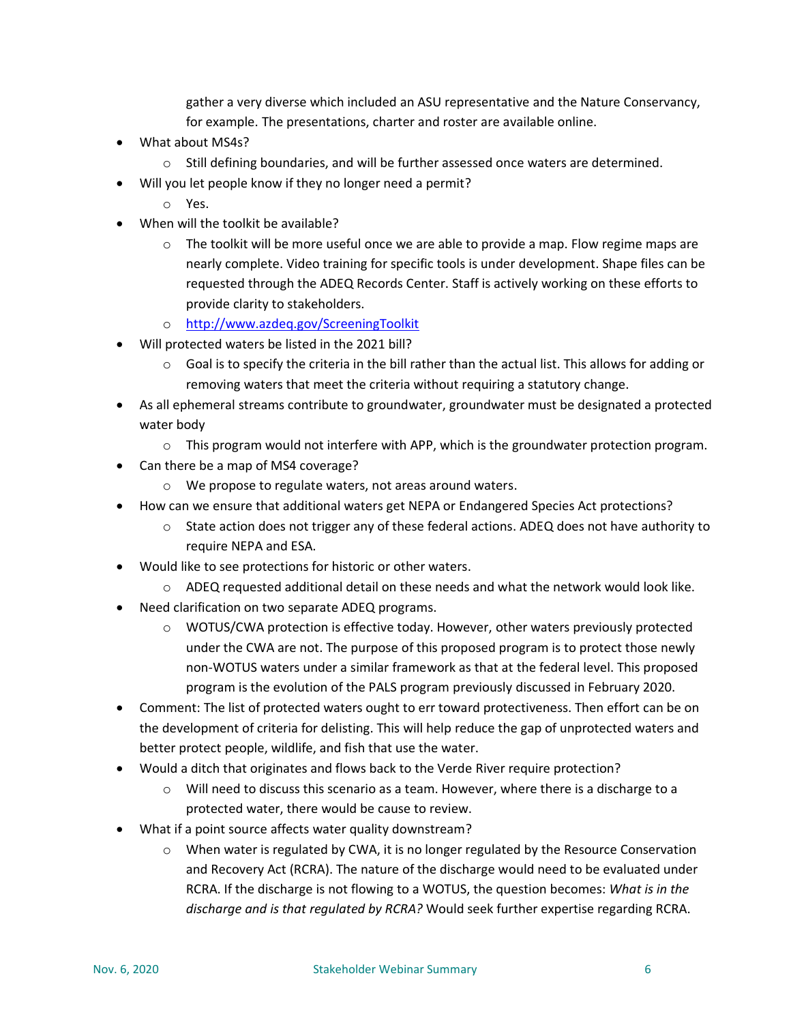gather a very diverse which included an ASU representative and the Nature Conservancy, for example. The presentations, charter and roster are available online.

- What about MS4s?
	- o Still defining boundaries, and will be further assessed once waters are determined.
- Will you let people know if they no longer need a permit?
	- o Yes.
- When will the toolkit be available?
	- $\circ$  The toolkit will be more useful once we are able to provide a map. Flow regime maps are nearly complete. Video training for specific tools is under development. Shape files can be requested through the ADEQ Records Center. Staff is actively working on these efforts to provide clarity to stakeholders.
	- o <http://www.azdeq.gov/ScreeningToolkit>
- Will protected waters be listed in the 2021 bill?
	- $\circ$  Goal is to specify the criteria in the bill rather than the actual list. This allows for adding or removing waters that meet the criteria without requiring a statutory change.
- As all ephemeral streams contribute to groundwater, groundwater must be designated a protected water body
	- $\circ$  This program would not interfere with APP, which is the groundwater protection program.
- Can there be a map of MS4 coverage?
	- o We propose to regulate waters, not areas around waters.
- How can we ensure that additional waters get NEPA or Endangered Species Act protections?
	- $\circ$  State action does not trigger any of these federal actions. ADEQ does not have authority to require NEPA and ESA.
- Would like to see protections for historic or other waters.
	- $\circ$  ADEQ requested additional detail on these needs and what the network would look like.
- Need clarification on two separate ADEQ programs.
	- $\circ$  WOTUS/CWA protection is effective today. However, other waters previously protected under the CWA are not. The purpose of this proposed program is to protect those newly non-WOTUS waters under a similar framework as that at the federal level. This proposed program is the evolution of the PALS program previously discussed in February 2020.
- Comment: The list of protected waters ought to err toward protectiveness. Then effort can be on the development of criteria for delisting. This will help reduce the gap of unprotected waters and better protect people, wildlife, and fish that use the water.
- Would a ditch that originates and flows back to the Verde River require protection?
	- o Will need to discuss this scenario as a team. However, where there is a discharge to a protected water, there would be cause to review.
- What if a point source affects water quality downstream?
	- o When water is regulated by CWA, it is no longer regulated by the Resource Conservation and Recovery Act (RCRA). The nature of the discharge would need to be evaluated under RCRA. If the discharge is not flowing to a WOTUS, the question becomes: *What is in the discharge and is that regulated by RCRA?* Would seek further expertise regarding RCRA.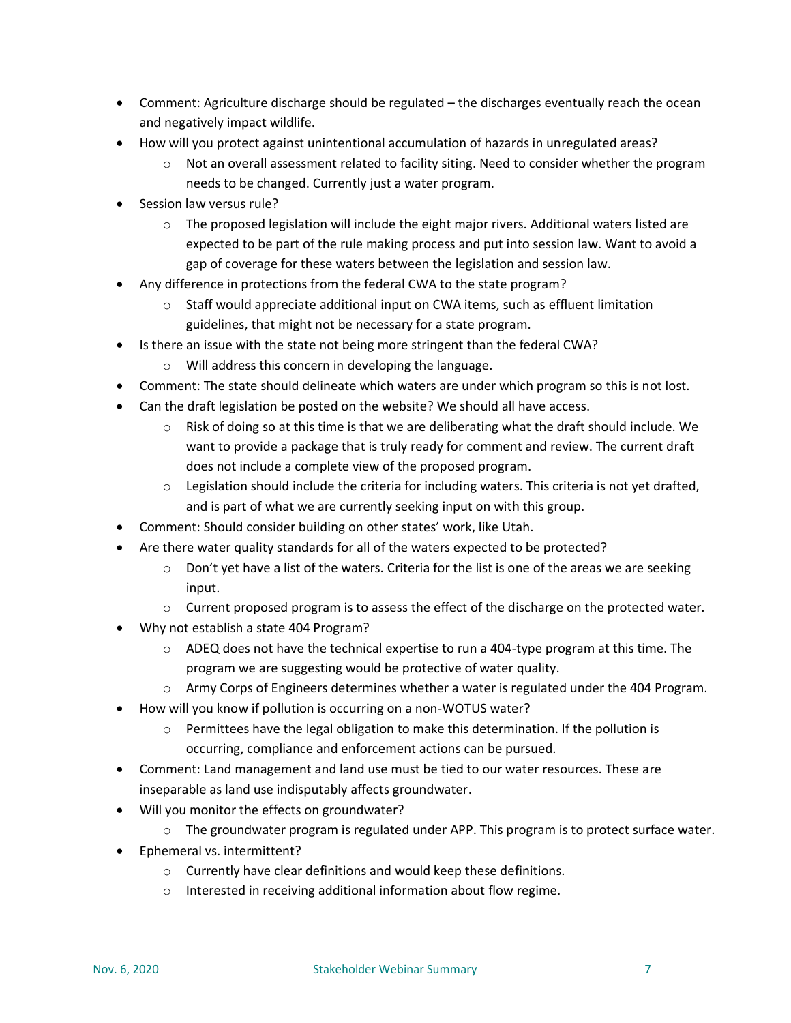- Comment: Agriculture discharge should be regulated the discharges eventually reach the ocean and negatively impact wildlife.
- How will you protect against unintentional accumulation of hazards in unregulated areas?
	- $\circ$  Not an overall assessment related to facility siting. Need to consider whether the program needs to be changed. Currently just a water program.
- Session law versus rule?
	- $\circ$  The proposed legislation will include the eight major rivers. Additional waters listed are expected to be part of the rule making process and put into session law. Want to avoid a gap of coverage for these waters between the legislation and session law.
- Any difference in protections from the federal CWA to the state program?
	- $\circ$  Staff would appreciate additional input on CWA items, such as effluent limitation guidelines, that might not be necessary for a state program.
- Is there an issue with the state not being more stringent than the federal CWA?
	- o Will address this concern in developing the language.
- Comment: The state should delineate which waters are under which program so this is not lost.
- Can the draft legislation be posted on the website? We should all have access.
	- $\circ$  Risk of doing so at this time is that we are deliberating what the draft should include. We want to provide a package that is truly ready for comment and review. The current draft does not include a complete view of the proposed program.
	- $\circ$  Legislation should include the criteria for including waters. This criteria is not yet drafted, and is part of what we are currently seeking input on with this group.
- Comment: Should consider building on other states' work, like Utah.
- Are there water quality standards for all of the waters expected to be protected?
	- $\circ$  Don't yet have a list of the waters. Criteria for the list is one of the areas we are seeking input.
	- $\circ$  Current proposed program is to assess the effect of the discharge on the protected water.
- Why not establish a state 404 Program?
	- $\circ$  ADEQ does not have the technical expertise to run a 404-type program at this time. The program we are suggesting would be protective of water quality.
	- o Army Corps of Engineers determines whether a water is regulated under the 404 Program.
- How will you know if pollution is occurring on a non-WOTUS water?
	- $\circ$  Permittees have the legal obligation to make this determination. If the pollution is occurring, compliance and enforcement actions can be pursued.
- Comment: Land management and land use must be tied to our water resources. These are inseparable as land use indisputably affects groundwater.
- Will you monitor the effects on groundwater?
	- $\circ$  The groundwater program is regulated under APP. This program is to protect surface water.
- Ephemeral vs. intermittent?
	- o Currently have clear definitions and would keep these definitions.
	- o Interested in receiving additional information about flow regime.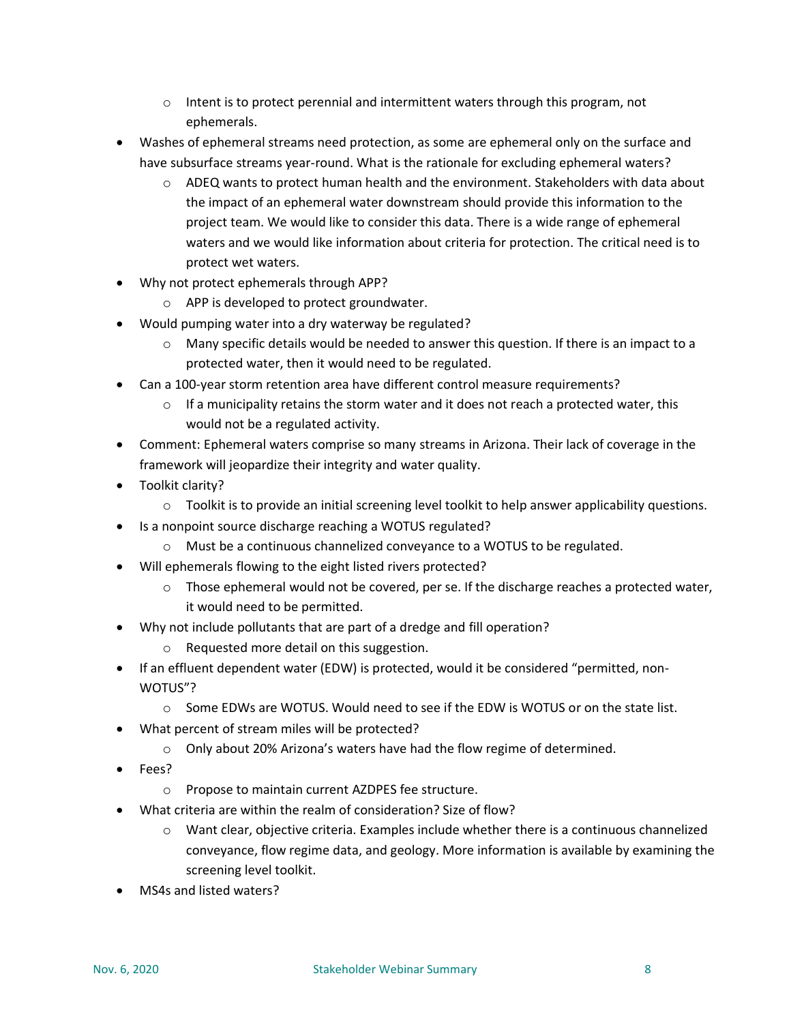- $\circ$  Intent is to protect perennial and intermittent waters through this program, not ephemerals.
- Washes of ephemeral streams need protection, as some are ephemeral only on the surface and have subsurface streams year-round. What is the rationale for excluding ephemeral waters?
	- $\circ$  ADEQ wants to protect human health and the environment. Stakeholders with data about the impact of an ephemeral water downstream should provide this information to the project team. We would like to consider this data. There is a wide range of ephemeral waters and we would like information about criteria for protection. The critical need is to protect wet waters.
- Why not protect ephemerals through APP?
	- o APP is developed to protect groundwater.
- Would pumping water into a dry waterway be regulated?
	- $\circ$  Many specific details would be needed to answer this question. If there is an impact to a protected water, then it would need to be regulated.
- Can a 100-year storm retention area have different control measure requirements?
	- $\circ$  If a municipality retains the storm water and it does not reach a protected water, this would not be a regulated activity.
- Comment: Ephemeral waters comprise so many streams in Arizona. Their lack of coverage in the framework will jeopardize their integrity and water quality.
- Toolkit clarity?
	- $\circ$  Toolkit is to provide an initial screening level toolkit to help answer applicability questions.
- Is a nonpoint source discharge reaching a WOTUS regulated?
	- o Must be a continuous channelized conveyance to a WOTUS to be regulated.
- Will ephemerals flowing to the eight listed rivers protected?
	- $\circ$  Those ephemeral would not be covered, per se. If the discharge reaches a protected water, it would need to be permitted.
- Why not include pollutants that are part of a dredge and fill operation?
	- o Requested more detail on this suggestion.
- If an effluent dependent water (EDW) is protected, would it be considered "permitted, non-WOTUS"?
	- $\circ$  Some EDWs are WOTUS. Would need to see if the EDW is WOTUS or on the state list.
- What percent of stream miles will be protected?
	- o Only about 20% Arizona's waters have had the flow regime of determined.
- Fees?
	- o Propose to maintain current AZDPES fee structure.
- What criteria are within the realm of consideration? Size of flow?
	- $\circ$  Want clear, objective criteria. Examples include whether there is a continuous channelized conveyance, flow regime data, and geology. More information is available by examining the screening level toolkit.
- MS4s and listed waters?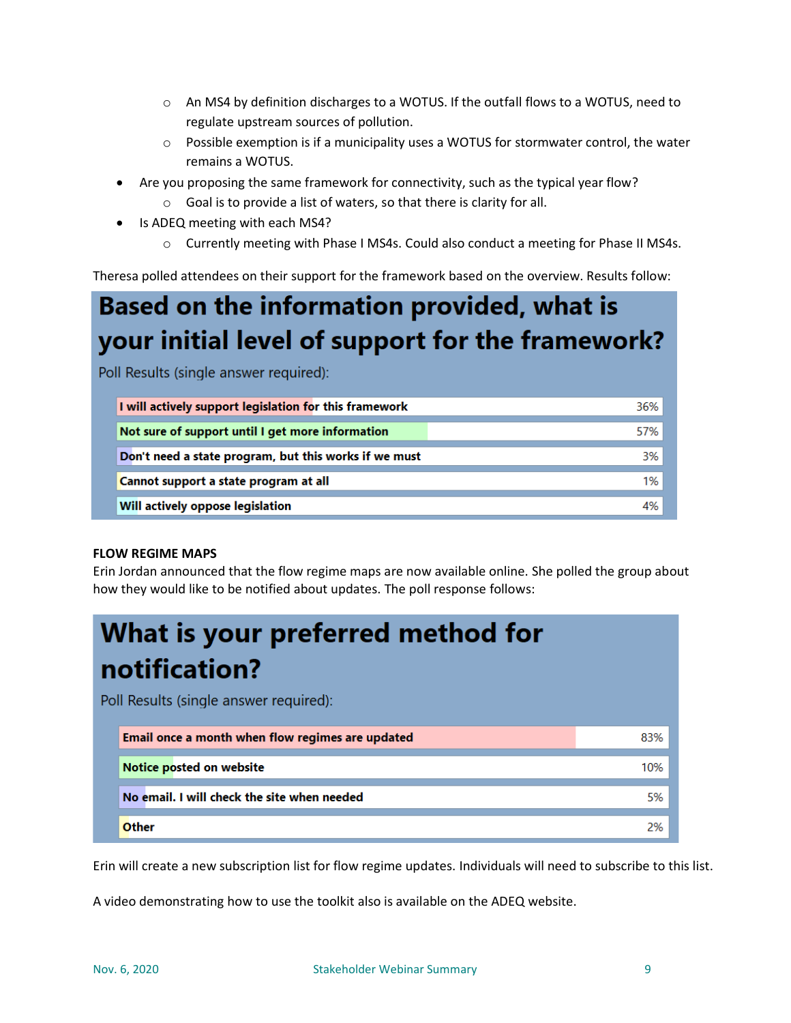- o An MS4 by definition discharges to a WOTUS. If the outfall flows to a WOTUS, need to regulate upstream sources of pollution.
- o Possible exemption is if a municipality uses a WOTUS for stormwater control, the water remains a WOTUS.
- Are you proposing the same framework for connectivity, such as the typical year flow?
	- o Goal is to provide a list of waters, so that there is clarity for all.
- Is ADEQ meeting with each MS4?
	- o Currently meeting with Phase I MS4s. Could also conduct a meeting for Phase II MS4s.

Theresa polled attendees on their support for the framework based on the overview. Results follow:

# **Based on the information provided, what is** your initial level of support for the framework?

Poll Results (single answer required):

| I will actively support legislation for this framework | 36% |
|--------------------------------------------------------|-----|
| Not sure of support until I get more information       | 57% |
| Don't need a state program, but this works if we must  | 3%  |
| Cannot support a state program at all                  | 1%  |
| Will actively oppose legislation                       | 4%  |

### **FLOW REGIME MAPS**

Erin Jordan announced that the flow regime maps are now available online. She polled the group about how they would like to be notified about updates. The poll response follows:

| What is your preferred method for<br>notification? |                                                  |     |  |  |
|----------------------------------------------------|--------------------------------------------------|-----|--|--|
| Poll Results (single answer required):             |                                                  |     |  |  |
|                                                    | Email once a month when flow regimes are updated | 83% |  |  |
|                                                    | Notice posted on website                         | 10% |  |  |
|                                                    | No email. I will check the site when needed      | 5%  |  |  |
|                                                    | Other                                            | 2%  |  |  |

Erin will create a new subscription list for flow regime updates. Individuals will need to subscribe to this list.

A video demonstrating how to use the toolkit also is available on the ADEQ website.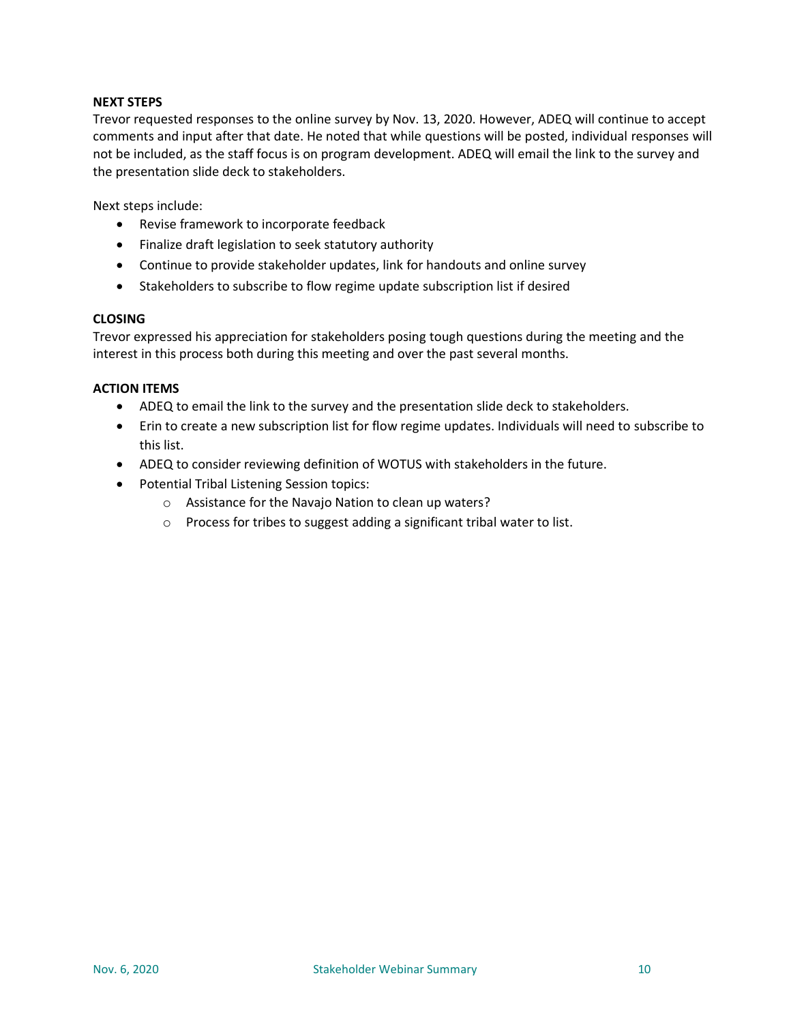### **NEXT STEPS**

Trevor requested responses to the online survey by Nov. 13, 2020. However, ADEQ will continue to accept comments and input after that date. He noted that while questions will be posted, individual responses will not be included, as the staff focus is on program development. ADEQ will email the link to the survey and the presentation slide deck to stakeholders.

Next steps include:

- Revise framework to incorporate feedback
- Finalize draft legislation to seek statutory authority
- Continue to provide stakeholder updates, link for handouts and online survey
- Stakeholders to subscribe to flow regime update subscription list if desired

### **CLOSING**

Trevor expressed his appreciation for stakeholders posing tough questions during the meeting and the interest in this process both during this meeting and over the past several months.

#### **ACTION ITEMS**

- ADEQ to email the link to the survey and the presentation slide deck to stakeholders.
- Erin to create a new subscription list for flow regime updates. Individuals will need to subscribe to this list.
- ADEQ to consider reviewing definition of WOTUS with stakeholders in the future.
- Potential Tribal Listening Session topics:
	- o Assistance for the Navajo Nation to clean up waters?
	- o Process for tribes to suggest adding a significant tribal water to list.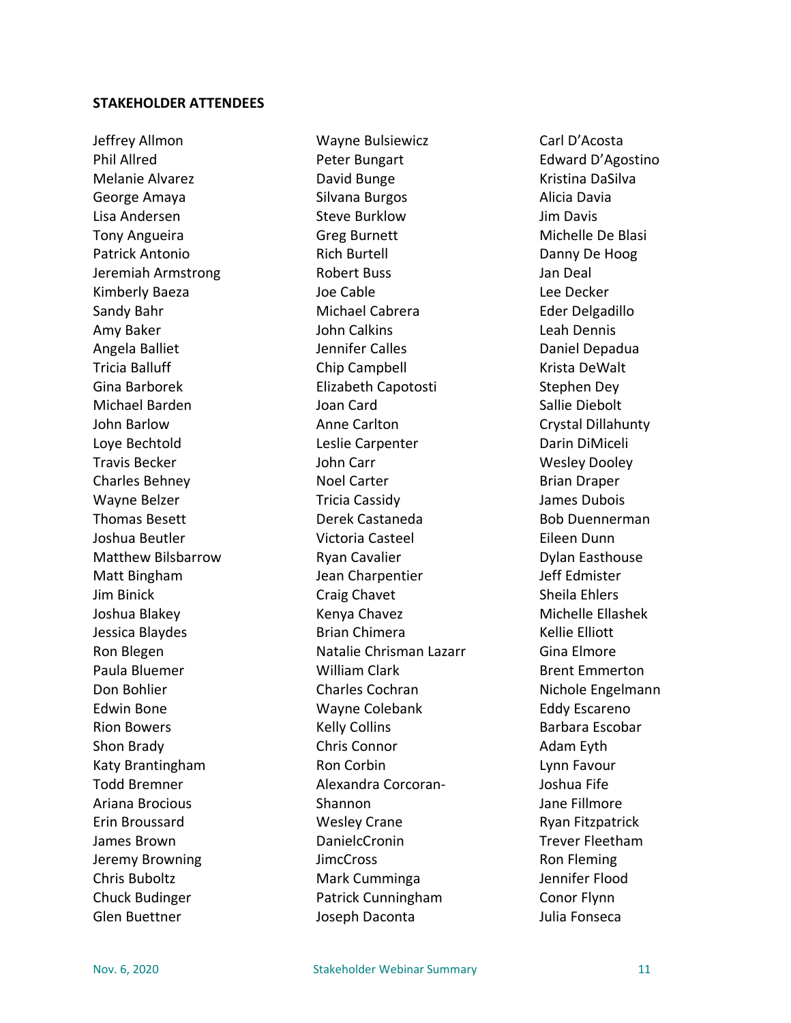### **STAKEHOLDER ATTENDEES**

Jeffrey Allmon Phil Allred Melanie Alvarez George Amaya Lisa Andersen Tony Angueira Patrick Antonio Jeremiah Armstrong Kimberly Baeza Sandy Bahr Amy Baker Angela Balliet Tricia Balluff Gina Barborek Michael Barden John Barlow Loye Bechtold Travis Becker Charles Behney Wayne Belzer Thomas Besett Joshua Beutler Matthew Bilsbarrow Matt Bingham Jim Binick Joshua Blakey Jessica Blaydes Ron Blegen Paula Bluemer Don Bohlier Edwin Bone Rion Bowers Shon Brady Katy Brantingham Todd Bremner Ariana Brocious Erin Broussard James Brown Jeremy Browning Chris Buboltz Chuck Budinger Glen Buettner

Wayne Bulsiewicz Peter Bungart David Bunge Silvana Burgos Steve Burklow Greg Burnett Rich Burtell Robert Buss Joe Cable Michael Cabrera John Calkins Jennifer Calles Chip Campbell Elizabeth Capotosti Joan Card Anne Carlton Leslie Carpenter John Carr Noel Carter Tricia Cassidy Derek Castaneda Victoria Casteel Ryan Cavalier Jean Charpentier Craig Chavet Kenya Chavez Brian Chimera Natalie Chrisman Lazarr William Clark Charles Cochran Wayne Colebank Kelly Collins Chris Connor Ron Corbin Alexandra Corcoran-Shannon Wesley Crane DanielcCronin **JimcCross** Mark Cumminga Patrick Cunningham Joseph Daconta

Carl D'Acosta Edward D'Agostino Kristina DaSilva Alicia Davia Jim Davis Michelle De Blasi Danny De Hoog Jan Deal Lee Decker Eder Delgadillo Leah Dennis Daniel Depadua Krista DeWalt Stephen Dey Sallie Diebolt Crystal Dillahunty Darin DiMiceli Wesley Dooley Brian Draper James Dubois Bob Duennerman Eileen Dunn Dylan Easthouse Jeff Edmister Sheila Ehlers Michelle Ellashek Kellie Elliott Gina Elmore Brent Emmerton Nichole Engelmann Eddy Escareno Barbara Escobar Adam Eyth Lynn Favour Joshua Fife Jane Fillmore Ryan Fitzpatrick Trever Fleetham Ron Fleming Jennifer Flood Conor Flynn Julia Fonseca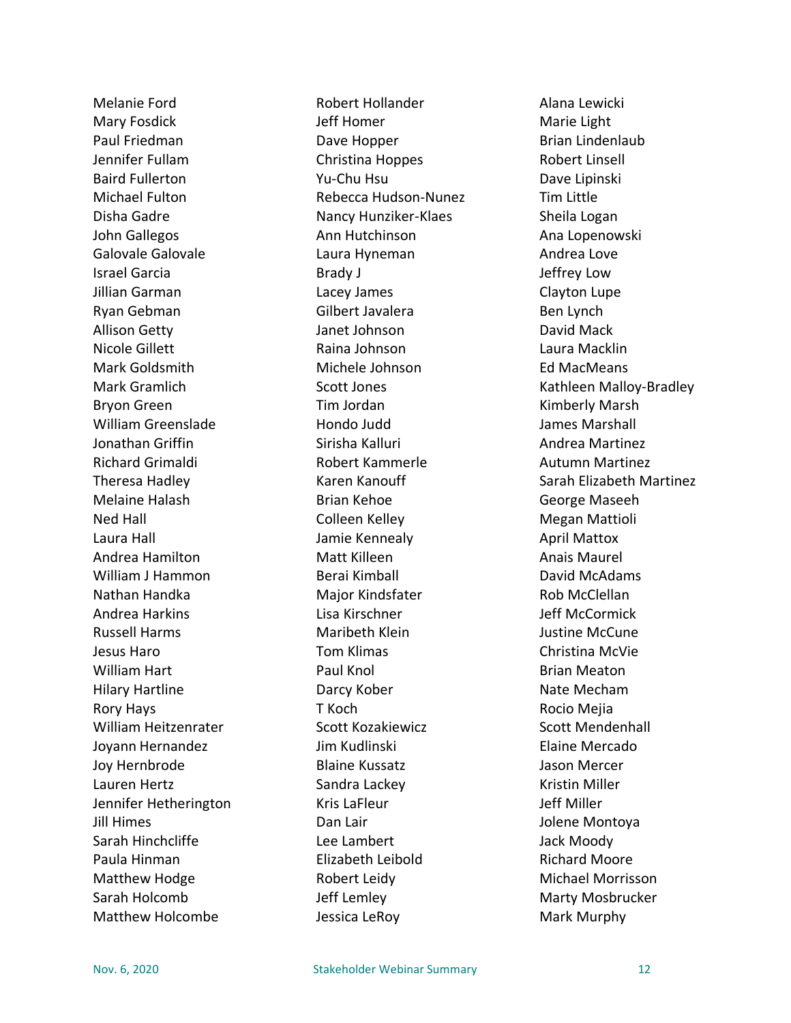Melanie Ford Mary Fosdick Paul Friedman Jennifer Fullam Baird Fullerton Michael Fulton Disha Gadre John Gallegos Galovale Galovale Israel Garcia Jillian Garman Ryan Gebman Allison Getty Nicole Gillett Mark Goldsmith Mark Gramlich Bryon Green William Greenslade Jonathan Griffin Richard Grimaldi Theresa Hadley Melaine Halash Ned Hall Laura Hall Andrea Hamilton William J Hammon Nathan Handka Andrea Harkins Russell Harms Jesus Haro William Hart Hilary Hartline Rory Hays William Heitzenrater Joyann Hernandez Joy Hernbrode Lauren Hertz Jennifer Hetherington Jill Himes Sarah Hinchcliffe Paula Hinman Matthew Hodge Sarah Holcomb Matthew Holcombe

Robert Hollander Jeff Homer Dave Hopper Christina Hoppes Yu-Chu Hsu Rebecca Hudson-Nunez Nancy Hunziker-Klaes Ann Hutchinson Laura Hyneman Brady J Lacey James Gilbert Javalera Janet Johnson Raina Johnson Michele Johnson Scott Jones Tim Jordan Hondo Judd Sirisha Kalluri Robert Kammerle Karen Kanouff Brian Kehoe Colleen Kelley Jamie Kennealy Matt Killeen Berai Kimball Major Kindsfater Lisa Kirschner Maribeth Klein Tom Klimas Paul Knol Darcy Kober T Koch Scott Kozakiewicz Jim Kudlinski Blaine Kussatz Sandra Lackey Kris LaFleur Dan Lair Lee Lambert Elizabeth Leibold Robert Leidy Jeff Lemley Jessica LeRoy

Alana Lewicki Marie Light Brian Lindenlaub Robert Linsell Dave Lipinski Tim Little Sheila Logan Ana Lopenowski Andrea Love Jeffrey Low Clayton Lupe Ben Lynch David Mack Laura Macklin Ed MacMeans Kathleen Malloy-Bradley Kimberly Marsh James Marshall Andrea Martinez Autumn Martinez Sarah Elizabeth Martinez George Maseeh Megan Mattioli April Mattox Anais Maurel David McAdams Rob McClellan Jeff McCormick Justine McCune Christina McVie Brian Meaton Nate Mecham Rocio Mejia Scott Mendenhall Elaine Mercado Jason Mercer Kristin Miller Jeff Miller Jolene Montoya Jack Moody Richard Moore Michael Morrisson Marty Mosbrucker Mark Murphy